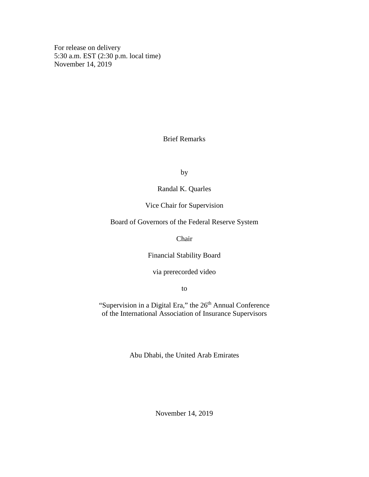For release on delivery 5:30 a.m. EST (2:30 p.m. local time) November 14, 2019

## Brief Remarks

by

Randal K. Quarles

Vice Chair for Supervision

Board of Governors of the Federal Reserve System

Chair

Financial Stability Board

via prerecorded video

to

"Supervision in a Digital Era," the 26<sup>th</sup> Annual Conference of the International Association of Insurance Supervisors

Abu Dhabi, the United Arab Emirates

November 14, 2019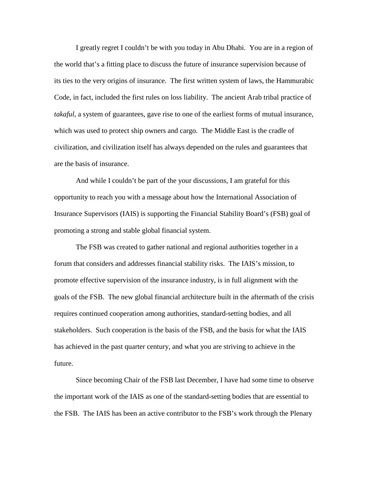I greatly regret I couldn't be with you today in Abu Dhabi. You are in a region of the world that's a fitting place to discuss the future of insurance supervision because of its ties to the very origins of insurance. The first written system of laws, the Hammurabic Code, in fact, included the first rules on loss liability. The ancient Arab tribal practice of *takaful*, a system of guarantees, gave rise to one of the earliest forms of mutual insurance, which was used to protect ship owners and cargo. The Middle East is the cradle of civilization, and civilization itself has always depended on the rules and guarantees that are the basis of insurance.

And while I couldn't be part of the your discussions, I am grateful for this opportunity to reach you with a message about how the International Association of Insurance Supervisors (IAIS) is supporting the Financial Stability Board's (FSB) goal of promoting a strong and stable global financial system.

The FSB was created to gather national and regional authorities together in a forum that considers and addresses financial stability risks. The IAIS's mission, to promote effective supervision of the insurance industry, is in full alignment with the goals of the FSB. The new global financial architecture built in the aftermath of the crisis requires continued cooperation among authorities, standard-setting bodies, and all stakeholders. Such cooperation is the basis of the FSB, and the basis for what the IAIS has achieved in the past quarter century, and what you are striving to achieve in the future.

Since becoming Chair of the FSB last December, I have had some time to observe the important work of the IAIS as one of the standard-setting bodies that are essential to the FSB. The IAIS has been an active contributor to the FSB's work through the Plenary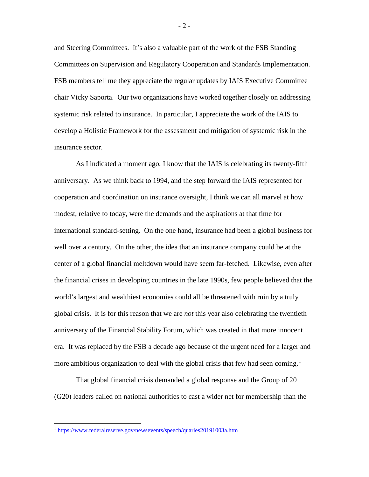and Steering Committees. It's also a valuable part of the work of the FSB Standing Committees on Supervision and Regulatory Cooperation and Standards Implementation. FSB members tell me they appreciate the regular updates by IAIS Executive Committee chair Vicky Saporta. Our two organizations have worked together closely on addressing systemic risk related to insurance. In particular, I appreciate the work of the IAIS to develop a Holistic Framework for the assessment and mitigation of systemic risk in the insurance sector.

As I indicated a moment ago, I know that the IAIS is celebrating its twenty-fifth anniversary. As we think back to 1994, and the step forward the IAIS represented for cooperation and coordination on insurance oversight, I think we can all marvel at how modest, relative to today, were the demands and the aspirations at that time for international standard-setting. On the one hand, insurance had been a global business for well over a century. On the other, the idea that an insurance company could be at the center of a global financial meltdown would have seem far-fetched. Likewise, even after the financial crises in developing countries in the late 1990s, few people believed that the world's largest and wealthiest economies could all be threatened with ruin by a truly global crisis. It is for this reason that we are *not* this year also celebrating the twentieth anniversary of the Financial Stability Forum, which was created in that more innocent era. It was replaced by the FSB a decade ago because of the urgent need for a larger and more ambitious organization to deal with the global crisis that few had seen coming.<sup>[1](#page-2-0)</sup>

That global financial crisis demanded a global response and the Group of 20 (G20) leaders called on national authorities to cast a wider net for membership than the

- 2 -

<span id="page-2-0"></span><sup>1</sup> <https://www.federalreserve.gov/newsevents/speech/quarles20191003a.htm>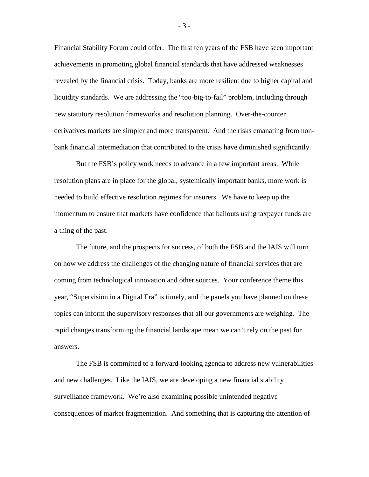Financial Stability Forum could offer. The first ten years of the FSB have seen important achievements in promoting global financial standards that have addressed weaknesses revealed by the financial crisis. Today, banks are more resilient due to higher capital and liquidity standards. We are addressing the "too-big-to-fail" problem, including through new statutory resolution frameworks and resolution planning. Over-the-counter derivatives markets are simpler and more transparent. And the risks emanating from nonbank financial intermediation that contributed to the crisis have diminished significantly.

But the FSB's policy work needs to advance in a few important areas. While resolution plans are in place for the global, systemically important banks, more work is needed to build effective resolution regimes for insurers. We have to keep up the momentum to ensure that markets have confidence that bailouts using taxpayer funds are a thing of the past.

The future, and the prospects for success, of both the FSB and the IAIS will turn on how we address the challenges of the changing nature of financial services that are coming from technological innovation and other sources. Your conference theme this year, "Supervision in a Digital Era" is timely, and the panels you have planned on these topics can inform the supervisory responses that all our governments are weighing. The rapid changes transforming the financial landscape mean we can't rely on the past for answers.

The FSB is committed to a forward-looking agenda to address new vulnerabilities and new challenges. Like the IAIS, we are developing a new financial stability surveillance framework. We're also examining possible unintended negative consequences of market fragmentation. And something that is capturing the attention of

- 3 -